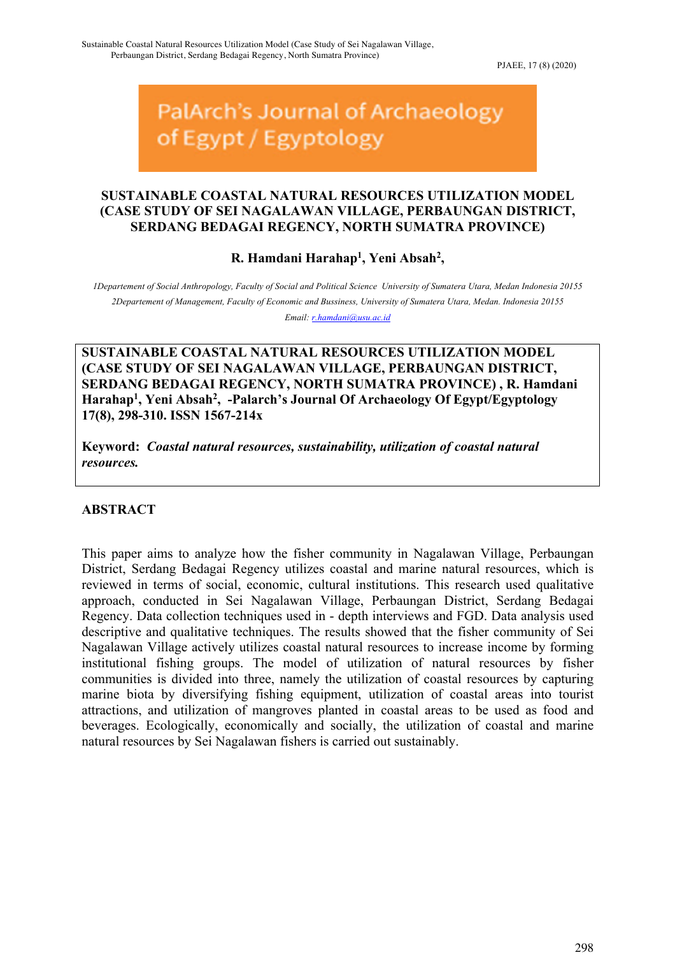PJAEE, 17 (8) (2020)

# PalArch's Journal of Archaeology of Egypt / Egyptology

## **SUSTAINABLE COASTAL NATURAL RESOURCES UTILIZATION MODEL (CASE STUDY OF SEI NAGALAWAN VILLAGE, PERBAUNGAN DISTRICT, SERDANG BEDAGAI REGENCY, NORTH SUMATRA PROVINCE)**

**R. Hamdani Harahap1 , Yeni Absah2 ,** 

*1Departement of Social Anthropology, Faculty of Social and Political Science University of Sumatera Utara, Medan Indonesia 20155 2Departement of Management, Faculty of Economic and Bussiness, University of Sumatera Utara, Medan. Indonesia 20155 Email: r.hamdani@usu.ac.id*

**SUSTAINABLE COASTAL NATURAL RESOURCES UTILIZATION MODEL (CASE STUDY OF SEI NAGALAWAN VILLAGE, PERBAUNGAN DISTRICT, SERDANG BEDAGAI REGENCY, NORTH SUMATRA PROVINCE) , R. Hamdani**  Harahap<sup>1</sup>, Yeni Absah<sup>2</sup>, -Palarch's Journal Of Archaeology Of Egypt/Egyptology **17(8), 298-310. ISSN 1567-214x** 

**Keyword:** *Coastal natural resources, sustainability, utilization of coastal natural resources.*

## **ABSTRACT**

This paper aims to analyze how the fisher community in Nagalawan Village, Perbaungan District, Serdang Bedagai Regency utilizes coastal and marine natural resources, which is reviewed in terms of social, economic, cultural institutions. This research used qualitative approach, conducted in Sei Nagalawan Village, Perbaungan District, Serdang Bedagai Regency. Data collection techniques used in - depth interviews and FGD. Data analysis used descriptive and qualitative techniques. The results showed that the fisher community of Sei Nagalawan Village actively utilizes coastal natural resources to increase income by forming institutional fishing groups. The model of utilization of natural resources by fisher communities is divided into three, namely the utilization of coastal resources by capturing marine biota by diversifying fishing equipment, utilization of coastal areas into tourist attractions, and utilization of mangroves planted in coastal areas to be used as food and beverages. Ecologically, economically and socially, the utilization of coastal and marine natural resources by Sei Nagalawan fishers is carried out sustainably.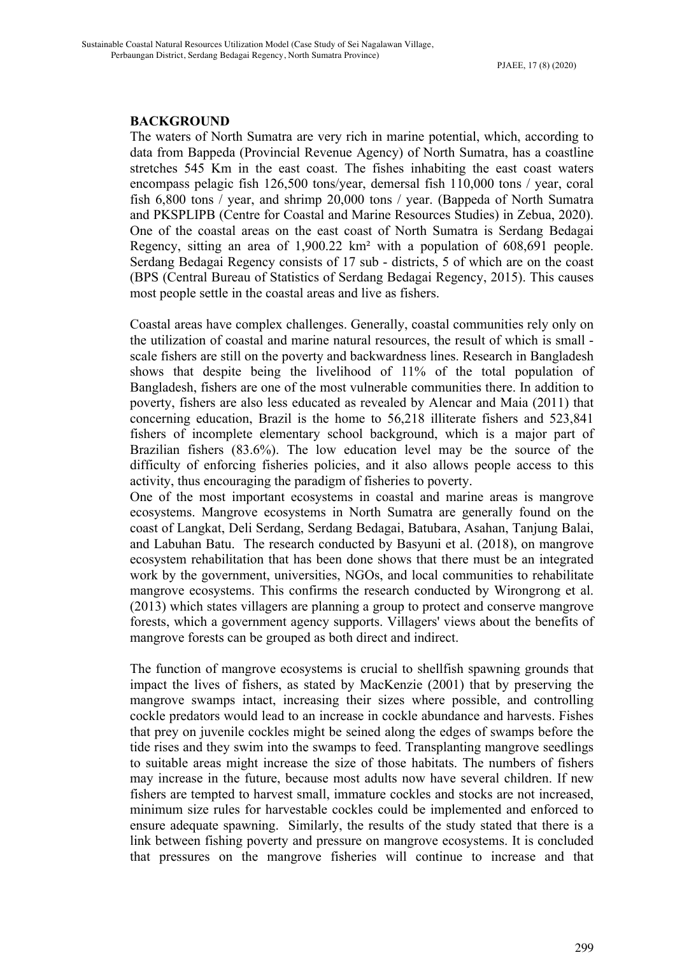#### **BACKGROUND**

The waters of North Sumatra are very rich in marine potential, which, according to data from Bappeda (Provincial Revenue Agency) of North Sumatra, has a coastline stretches 545 Km in the east coast. The fishes inhabiting the east coast waters encompass pelagic fish 126,500 tons/year, demersal fish 110,000 tons / year, coral fish 6,800 tons / year, and shrimp 20,000 tons / year. (Bappeda of North Sumatra and PKSPLIPB (Centre for Coastal and Marine Resources Studies) in Zebua, 2020). One of the coastal areas on the east coast of North Sumatra is Serdang Bedagai Regency, sitting an area of 1,900.22 km² with a population of 608,691 people. Serdang Bedagai Regency consists of 17 sub - districts, 5 of which are on the coast (BPS (Central Bureau of Statistics of Serdang Bedagai Regency, 2015). This causes most people settle in the coastal areas and live as fishers.

Coastal areas have complex challenges. Generally, coastal communities rely only on the utilization of coastal and marine natural resources, the result of which is small scale fishers are still on the poverty and backwardness lines. Research in Bangladesh shows that despite being the livelihood of 11% of the total population of Bangladesh, fishers are one of the most vulnerable communities there. In addition to poverty, fishers are also less educated as revealed by Alencar and Maia (2011) that concerning education, Brazil is the home to 56,218 illiterate fishers and 523,841 fishers of incomplete elementary school background, which is a major part of Brazilian fishers (83.6%). The low education level may be the source of the difficulty of enforcing fisheries policies, and it also allows people access to this activity, thus encouraging the paradigm of fisheries to poverty.

One of the most important ecosystems in coastal and marine areas is mangrove ecosystems. Mangrove ecosystems in North Sumatra are generally found on the coast of Langkat, Deli Serdang, Serdang Bedagai, Batubara, Asahan, Tanjung Balai, and Labuhan Batu. The research conducted by Basyuni et al. (2018), on mangrove ecosystem rehabilitation that has been done shows that there must be an integrated work by the government, universities, NGOs, and local communities to rehabilitate mangrove ecosystems. This confirms the research conducted by Wirongrong et al. (2013) which states villagers are planning a group to protect and conserve mangrove forests, which a government agency supports. Villagers' views about the benefits of mangrove forests can be grouped as both direct and indirect.

The function of mangrove ecosystems is crucial to shellfish spawning grounds that impact the lives of fishers, as stated by MacKenzie (2001) that by preserving the mangrove swamps intact, increasing their sizes where possible, and controlling cockle predators would lead to an increase in cockle abundance and harvests. Fishes that prey on juvenile cockles might be seined along the edges of swamps before the tide rises and they swim into the swamps to feed. Transplanting mangrove seedlings to suitable areas might increase the size of those habitats. The numbers of fishers may increase in the future, because most adults now have several children. If new fishers are tempted to harvest small, immature cockles and stocks are not increased, minimum size rules for harvestable cockles could be implemented and enforced to ensure adequate spawning. Similarly, the results of the study stated that there is a link between fishing poverty and pressure on mangrove ecosystems. It is concluded that pressures on the mangrove fisheries will continue to increase and that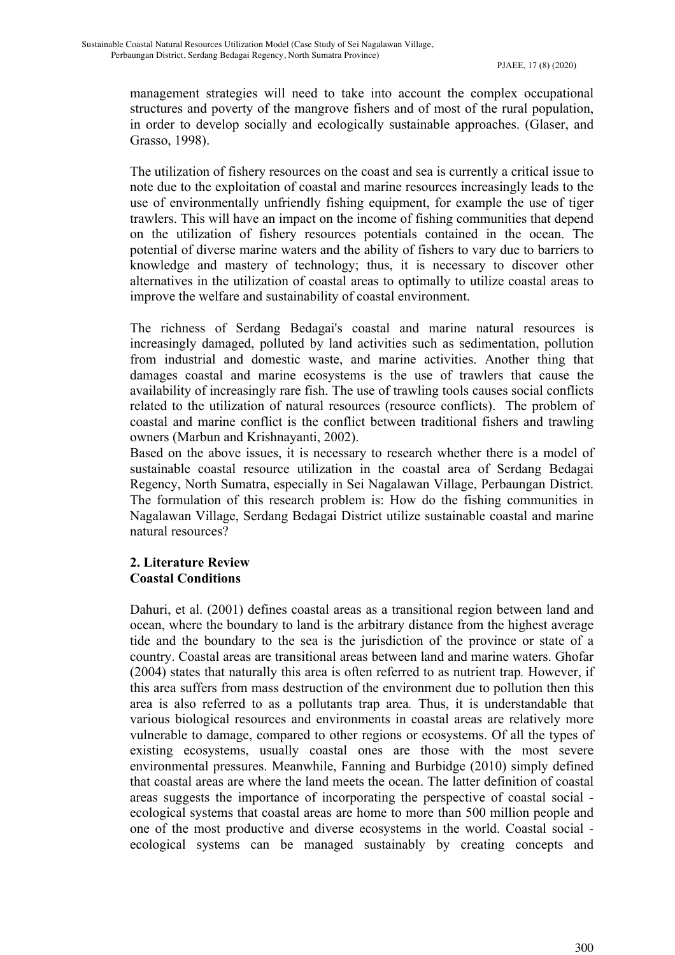management strategies will need to take into account the complex occupational structures and poverty of the mangrove fishers and of most of the rural population, in order to develop socially and ecologically sustainable approaches. (Glaser, and Grasso, 1998).

The utilization of fishery resources on the coast and sea is currently a critical issue to note due to the exploitation of coastal and marine resources increasingly leads to the use of environmentally unfriendly fishing equipment, for example the use of tiger trawlers. This will have an impact on the income of fishing communities that depend on the utilization of fishery resources potentials contained in the ocean. The potential of diverse marine waters and the ability of fishers to vary due to barriers to knowledge and mastery of technology; thus, it is necessary to discover other alternatives in the utilization of coastal areas to optimally to utilize coastal areas to improve the welfare and sustainability of coastal environment.

The richness of Serdang Bedagai's coastal and marine natural resources is increasingly damaged, polluted by land activities such as sedimentation, pollution from industrial and domestic waste, and marine activities. Another thing that damages coastal and marine ecosystems is the use of trawlers that cause the availability of increasingly rare fish. The use of trawling tools causes social conflicts related to the utilization of natural resources (resource conflicts). The problem of coastal and marine conflict is the conflict between traditional fishers and trawling owners (Marbun and Krishnayanti, 2002).

Based on the above issues, it is necessary to research whether there is a model of sustainable coastal resource utilization in the coastal area of Serdang Bedagai Regency, North Sumatra, especially in Sei Nagalawan Village, Perbaungan District. The formulation of this research problem is: How do the fishing communities in Nagalawan Village, Serdang Bedagai District utilize sustainable coastal and marine natural resources?

## **2. Literature Review Coastal Conditions**

Dahuri, et al. (2001) defines coastal areas as a transitional region between land and ocean, where the boundary to land is the arbitrary distance from the highest average tide and the boundary to the sea is the jurisdiction of the province or state of a country. Coastal areas are transitional areas between land and marine waters. Ghofar (2004) states that naturally this area is often referred to as nutrient trap*.* However, if this area suffers from mass destruction of the environment due to pollution then this area is also referred to as a pollutants trap area*.* Thus, it is understandable that various biological resources and environments in coastal areas are relatively more vulnerable to damage, compared to other regions or ecosystems. Of all the types of existing ecosystems, usually coastal ones are those with the most severe environmental pressures. Meanwhile, Fanning and Burbidge (2010) simply defined that coastal areas are where the land meets the ocean. The latter definition of coastal areas suggests the importance of incorporating the perspective of coastal social ecological systems that coastal areas are home to more than 500 million people and one of the most productive and diverse ecosystems in the world. Coastal social ecological systems can be managed sustainably by creating concepts and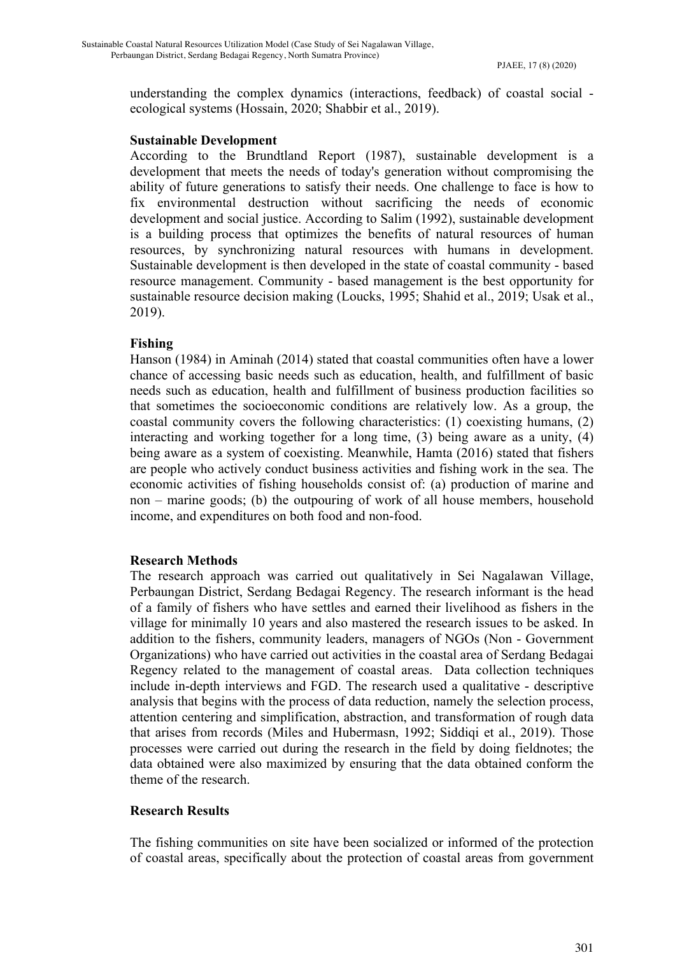understanding the complex dynamics (interactions, feedback) of coastal social ecological systems (Hossain, 2020; Shabbir et al., 2019).

#### **Sustainable Development**

According to the Brundtland Report (1987), sustainable development is a development that meets the needs of today's generation without compromising the ability of future generations to satisfy their needs. One challenge to face is how to fix environmental destruction without sacrificing the needs of economic development and social justice. According to Salim (1992), sustainable development is a building process that optimizes the benefits of natural resources of human resources, by synchronizing natural resources with humans in development. Sustainable development is then developed in the state of coastal community - based resource management. Community - based management is the best opportunity for sustainable resource decision making (Loucks, 1995; Shahid et al., 2019; Usak et al., 2019).

## **Fishing**

Hanson (1984) in Aminah (2014) stated that coastal communities often have a lower chance of accessing basic needs such as education, health, and fulfillment of basic needs such as education, health and fulfillment of business production facilities so that sometimes the socioeconomic conditions are relatively low. As a group, the coastal community covers the following characteristics: (1) coexisting humans, (2) interacting and working together for a long time, (3) being aware as a unity, (4) being aware as a system of coexisting. Meanwhile, Hamta (2016) stated that fishers are people who actively conduct business activities and fishing work in the sea. The economic activities of fishing households consist of: (a) production of marine and non – marine goods; (b) the outpouring of work of all house members, household income, and expenditures on both food and non-food.

#### **Research Methods**

The research approach was carried out qualitatively in Sei Nagalawan Village, Perbaungan District, Serdang Bedagai Regency. The research informant is the head of a family of fishers who have settles and earned their livelihood as fishers in the village for minimally 10 years and also mastered the research issues to be asked. In addition to the fishers, community leaders, managers of NGOs (Non - Government Organizations) who have carried out activities in the coastal area of Serdang Bedagai Regency related to the management of coastal areas. Data collection techniques include in-depth interviews and FGD. The research used a qualitative - descriptive analysis that begins with the process of data reduction, namely the selection process, attention centering and simplification, abstraction, and transformation of rough data that arises from records (Miles and Hubermasn, 1992; Siddiqi et al., 2019). Those processes were carried out during the research in the field by doing fieldnotes; the data obtained were also maximized by ensuring that the data obtained conform the theme of the research.

## **Research Results**

The fishing communities on site have been socialized or informed of the protection of coastal areas, specifically about the protection of coastal areas from government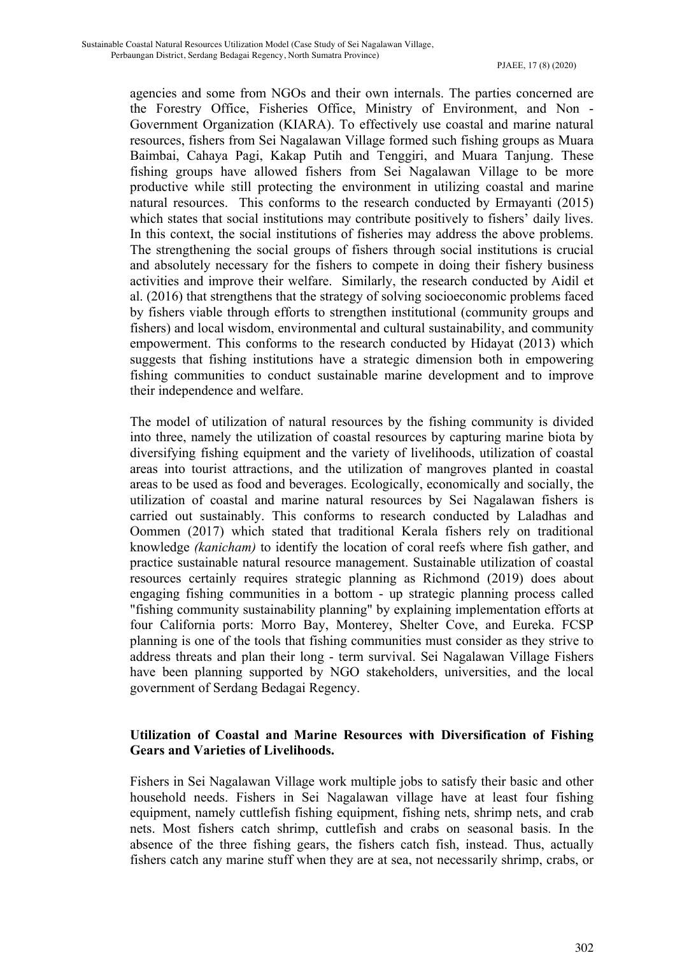agencies and some from NGOs and their own internals. The parties concerned are the Forestry Office, Fisheries Office, Ministry of Environment, and Non - Government Organization (KIARA). To effectively use coastal and marine natural resources, fishers from Sei Nagalawan Village formed such fishing groups as Muara Baimbai, Cahaya Pagi, Kakap Putih and Tenggiri, and Muara Tanjung. These fishing groups have allowed fishers from Sei Nagalawan Village to be more productive while still protecting the environment in utilizing coastal and marine natural resources. This conforms to the research conducted by Ermayanti (2015) which states that social institutions may contribute positively to fishers' daily lives. In this context, the social institutions of fisheries may address the above problems. The strengthening the social groups of fishers through social institutions is crucial and absolutely necessary for the fishers to compete in doing their fishery business activities and improve their welfare. Similarly, the research conducted by Aidil et al. (2016) that strengthens that the strategy of solving socioeconomic problems faced by fishers viable through efforts to strengthen institutional (community groups and fishers) and local wisdom, environmental and cultural sustainability, and community empowerment. This conforms to the research conducted by Hidayat (2013) which suggests that fishing institutions have a strategic dimension both in empowering fishing communities to conduct sustainable marine development and to improve their independence and welfare.

The model of utilization of natural resources by the fishing community is divided into three, namely the utilization of coastal resources by capturing marine biota by diversifying fishing equipment and the variety of livelihoods, utilization of coastal areas into tourist attractions, and the utilization of mangroves planted in coastal areas to be used as food and beverages. Ecologically, economically and socially, the utilization of coastal and marine natural resources by Sei Nagalawan fishers is carried out sustainably. This conforms to research conducted by Laladhas and Oommen (2017) which stated that traditional Kerala fishers rely on traditional knowledge *(kanicham)* to identify the location of coral reefs where fish gather, and practice sustainable natural resource management. Sustainable utilization of coastal resources certainly requires strategic planning as Richmond (2019) does about engaging fishing communities in a bottom - up strategic planning process called "fishing community sustainability planning" by explaining implementation efforts at four California ports: Morro Bay, Monterey, Shelter Cove, and Eureka. FCSP planning is one of the tools that fishing communities must consider as they strive to address threats and plan their long - term survival. Sei Nagalawan Village Fishers have been planning supported by NGO stakeholders, universities, and the local government of Serdang Bedagai Regency.

## **Utilization of Coastal and Marine Resources with Diversification of Fishing Gears and Varieties of Livelihoods.**

Fishers in Sei Nagalawan Village work multiple jobs to satisfy their basic and other household needs. Fishers in Sei Nagalawan village have at least four fishing equipment, namely cuttlefish fishing equipment, fishing nets, shrimp nets, and crab nets. Most fishers catch shrimp, cuttlefish and crabs on seasonal basis. In the absence of the three fishing gears, the fishers catch fish, instead. Thus, actually fishers catch any marine stuff when they are at sea, not necessarily shrimp, crabs, or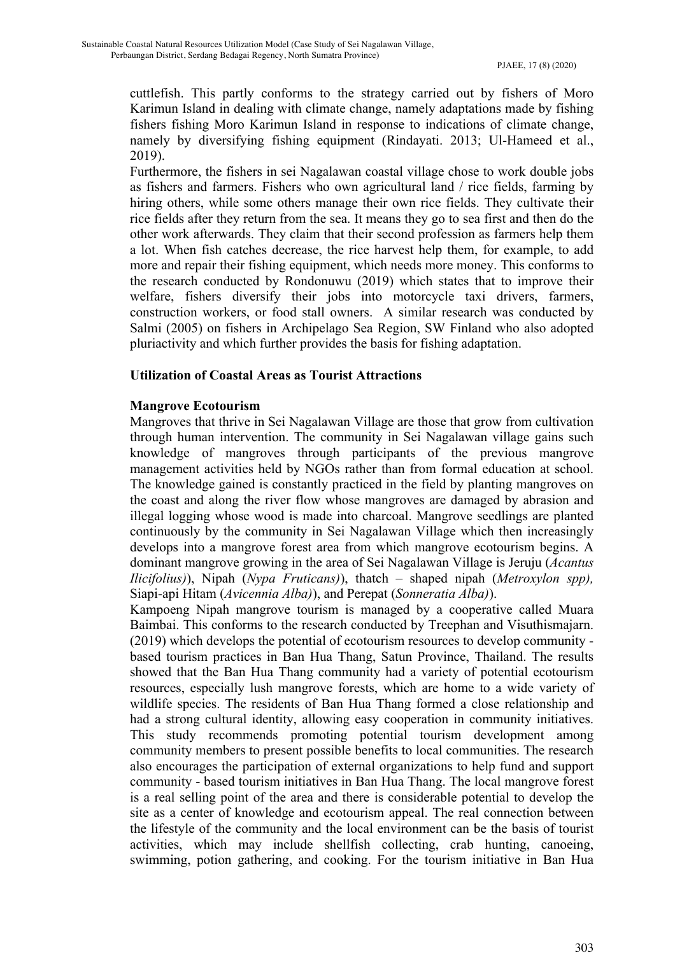cuttlefish. This partly conforms to the strategy carried out by fishers of Moro Karimun Island in dealing with climate change, namely adaptations made by fishing fishers fishing Moro Karimun Island in response to indications of climate change, namely by diversifying fishing equipment (Rindayati. 2013; Ul-Hameed et al., 2019).

Furthermore, the fishers in sei Nagalawan coastal village chose to work double jobs as fishers and farmers. Fishers who own agricultural land / rice fields, farming by hiring others, while some others manage their own rice fields. They cultivate their rice fields after they return from the sea. It means they go to sea first and then do the other work afterwards. They claim that their second profession as farmers help them a lot. When fish catches decrease, the rice harvest help them, for example, to add more and repair their fishing equipment, which needs more money. This conforms to the research conducted by Rondonuwu (2019) which states that to improve their welfare, fishers diversify their jobs into motorcycle taxi drivers, farmers, construction workers, or food stall owners. A similar research was conducted by Salmi (2005) on fishers in Archipelago Sea Region, SW Finland who also adopted pluriactivity and which further provides the basis for fishing adaptation.

## **Utilization of Coastal Areas as Tourist Attractions**

## **Mangrove Ecotourism**

Mangroves that thrive in Sei Nagalawan Village are those that grow from cultivation through human intervention. The community in Sei Nagalawan village gains such knowledge of mangroves through participants of the previous mangrove management activities held by NGOs rather than from formal education at school. The knowledge gained is constantly practiced in the field by planting mangroves on the coast and along the river flow whose mangroves are damaged by abrasion and illegal logging whose wood is made into charcoal. Mangrove seedlings are planted continuously by the community in Sei Nagalawan Village which then increasingly develops into a mangrove forest area from which mangrove ecotourism begins. A dominant mangrove growing in the area of Sei Nagalawan Village is Jeruju (*Acantus Ilicifolius)*), Nipah (*Nypa Fruticans)*), thatch – shaped nipah (*Metroxylon spp),* Siapi-api Hitam (*Avicennia Alba)*), and Perepat (*Sonneratia Alba)*).

Kampoeng Nipah mangrove tourism is managed by a cooperative called Muara Baimbai. This conforms to the research conducted by Treephan and Visuthismajarn. (2019) which develops the potential of ecotourism resources to develop community based tourism practices in Ban Hua Thang, Satun Province, Thailand. The results showed that the Ban Hua Thang community had a variety of potential ecotourism resources, especially lush mangrove forests, which are home to a wide variety of wildlife species. The residents of Ban Hua Thang formed a close relationship and had a strong cultural identity, allowing easy cooperation in community initiatives. This study recommends promoting potential tourism development among community members to present possible benefits to local communities. The research also encourages the participation of external organizations to help fund and support community - based tourism initiatives in Ban Hua Thang. The local mangrove forest is a real selling point of the area and there is considerable potential to develop the site as a center of knowledge and ecotourism appeal. The real connection between the lifestyle of the community and the local environment can be the basis of tourist activities, which may include shellfish collecting, crab hunting, canoeing, swimming, potion gathering, and cooking. For the tourism initiative in Ban Hua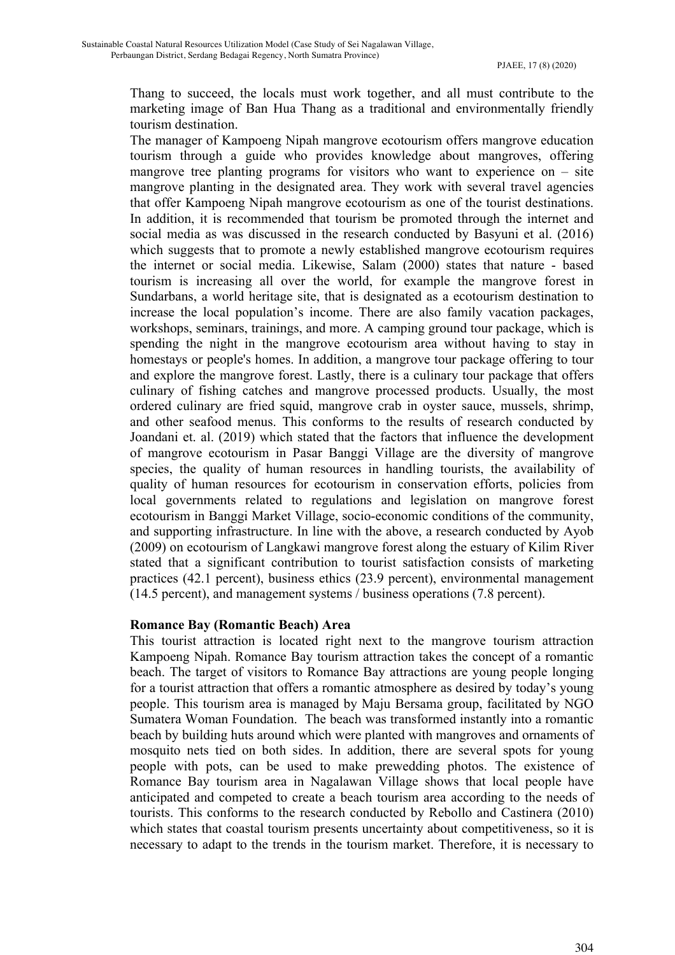Thang to succeed, the locals must work together, and all must contribute to the marketing image of Ban Hua Thang as a traditional and environmentally friendly tourism destination.

The manager of Kampoeng Nipah mangrove ecotourism offers mangrove education tourism through a guide who provides knowledge about mangroves, offering mangrove tree planting programs for visitors who want to experience on  $-$  site mangrove planting in the designated area. They work with several travel agencies that offer Kampoeng Nipah mangrove ecotourism as one of the tourist destinations. In addition, it is recommended that tourism be promoted through the internet and social media as was discussed in the research conducted by Basyuni et al. (2016) which suggests that to promote a newly established mangrove ecotourism requires the internet or social media. Likewise, Salam (2000) states that nature - based tourism is increasing all over the world, for example the mangrove forest in Sundarbans, a world heritage site, that is designated as a ecotourism destination to increase the local population's income. There are also family vacation packages, workshops, seminars, trainings, and more. A camping ground tour package, which is spending the night in the mangrove ecotourism area without having to stay in homestays or people's homes. In addition, a mangrove tour package offering to tour and explore the mangrove forest. Lastly, there is a culinary tour package that offers culinary of fishing catches and mangrove processed products. Usually, the most ordered culinary are fried squid, mangrove crab in oyster sauce, mussels, shrimp, and other seafood menus. This conforms to the results of research conducted by Joandani et. al. (2019) which stated that the factors that influence the development of mangrove ecotourism in Pasar Banggi Village are the diversity of mangrove species, the quality of human resources in handling tourists, the availability of quality of human resources for ecotourism in conservation efforts, policies from local governments related to regulations and legislation on mangrove forest ecotourism in Banggi Market Village, socio-economic conditions of the community, and supporting infrastructure. In line with the above, a research conducted by Ayob (2009) on ecotourism of Langkawi mangrove forest along the estuary of Kilim River stated that a significant contribution to tourist satisfaction consists of marketing practices (42.1 percent), business ethics (23.9 percent), environmental management (14.5 percent), and management systems / business operations (7.8 percent).

#### **Romance Bay (Romantic Beach) Area**

This tourist attraction is located right next to the mangrove tourism attraction Kampoeng Nipah. Romance Bay tourism attraction takes the concept of a romantic beach. The target of visitors to Romance Bay attractions are young people longing for a tourist attraction that offers a romantic atmosphere as desired by today's young people. This tourism area is managed by Maju Bersama group, facilitated by NGO Sumatera Woman Foundation. The beach was transformed instantly into a romantic beach by building huts around which were planted with mangroves and ornaments of mosquito nets tied on both sides. In addition, there are several spots for young people with pots, can be used to make prewedding photos. The existence of Romance Bay tourism area in Nagalawan Village shows that local people have anticipated and competed to create a beach tourism area according to the needs of tourists. This conforms to the research conducted by Rebollo and Castinera (2010) which states that coastal tourism presents uncertainty about competitiveness, so it is necessary to adapt to the trends in the tourism market. Therefore, it is necessary to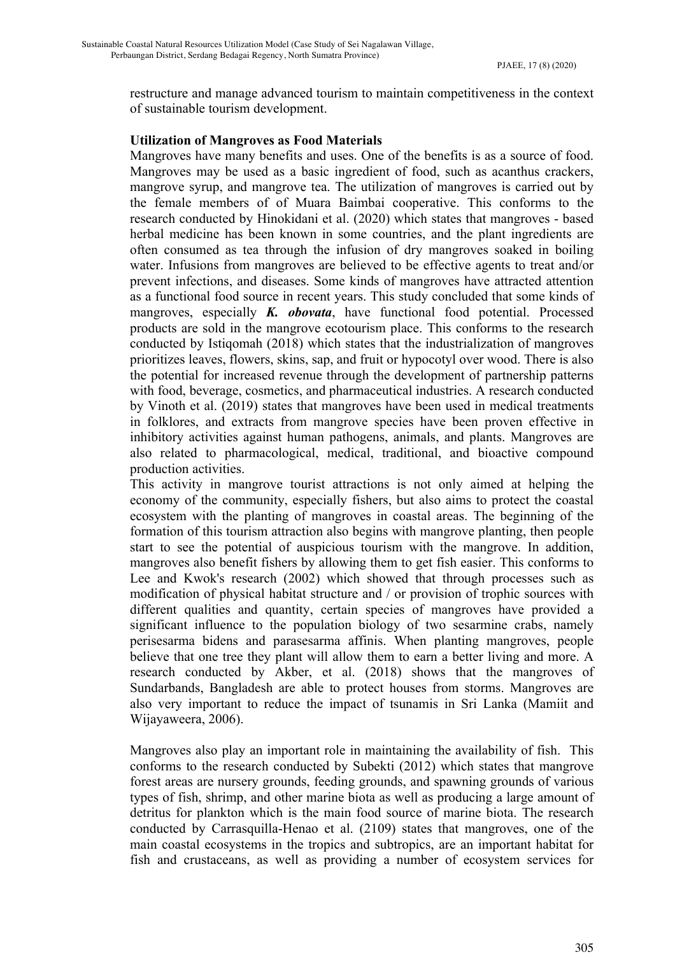restructure and manage advanced tourism to maintain competitiveness in the context of sustainable tourism development.

#### **Utilization of Mangroves as Food Materials**

Mangroves have many benefits and uses. One of the benefits is as a source of food. Mangroves may be used as a basic ingredient of food, such as acanthus crackers, mangrove syrup, and mangrove tea. The utilization of mangroves is carried out by the female members of of Muara Baimbai cooperative. This conforms to the research conducted by Hinokidani et al. (2020) which states that mangroves - based herbal medicine has been known in some countries, and the plant ingredients are often consumed as tea through the infusion of dry mangroves soaked in boiling water. Infusions from mangroves are believed to be effective agents to treat and/or prevent infections, and diseases. Some kinds of mangroves have attracted attention as a functional food source in recent years. This study concluded that some kinds of mangroves, especially *K. obovata*, have functional food potential. Processed products are sold in the mangrove ecotourism place. This conforms to the research conducted by Istiqomah (2018) which states that the industrialization of mangroves prioritizes leaves, flowers, skins, sap, and fruit or hypocotyl over wood. There is also the potential for increased revenue through the development of partnership patterns with food, beverage, cosmetics, and pharmaceutical industries. A research conducted by Vinoth et al. (2019) states that mangroves have been used in medical treatments in folklores, and extracts from mangrove species have been proven effective in inhibitory activities against human pathogens, animals, and plants. Mangroves are also related to pharmacological, medical, traditional, and bioactive compound production activities.

This activity in mangrove tourist attractions is not only aimed at helping the economy of the community, especially fishers, but also aims to protect the coastal ecosystem with the planting of mangroves in coastal areas. The beginning of the formation of this tourism attraction also begins with mangrove planting, then people start to see the potential of auspicious tourism with the mangrove. In addition, mangroves also benefit fishers by allowing them to get fish easier. This conforms to Lee and Kwok's research (2002) which showed that through processes such as modification of physical habitat structure and / or provision of trophic sources with different qualities and quantity, certain species of mangroves have provided a significant influence to the population biology of two sesarmine crabs, namely perisesarma bidens and parasesarma affinis. When planting mangroves, people believe that one tree they plant will allow them to earn a better living and more. A research conducted by Akber, et al. (2018) shows that the mangroves of Sundarbands, Bangladesh are able to protect houses from storms. Mangroves are also very important to reduce the impact of tsunamis in Sri Lanka (Mamiit and Wijayaweera, 2006).

Mangroves also play an important role in maintaining the availability of fish. This conforms to the research conducted by Subekti (2012) which states that mangrove forest areas are nursery grounds, feeding grounds, and spawning grounds of various types of fish, shrimp, and other marine biota as well as producing a large amount of detritus for plankton which is the main food source of marine biota. The research conducted by Carrasquilla-Henao et al. (2109) states that mangroves, one of the main coastal ecosystems in the tropics and subtropics, are an important habitat for fish and crustaceans, as well as providing a number of ecosystem services for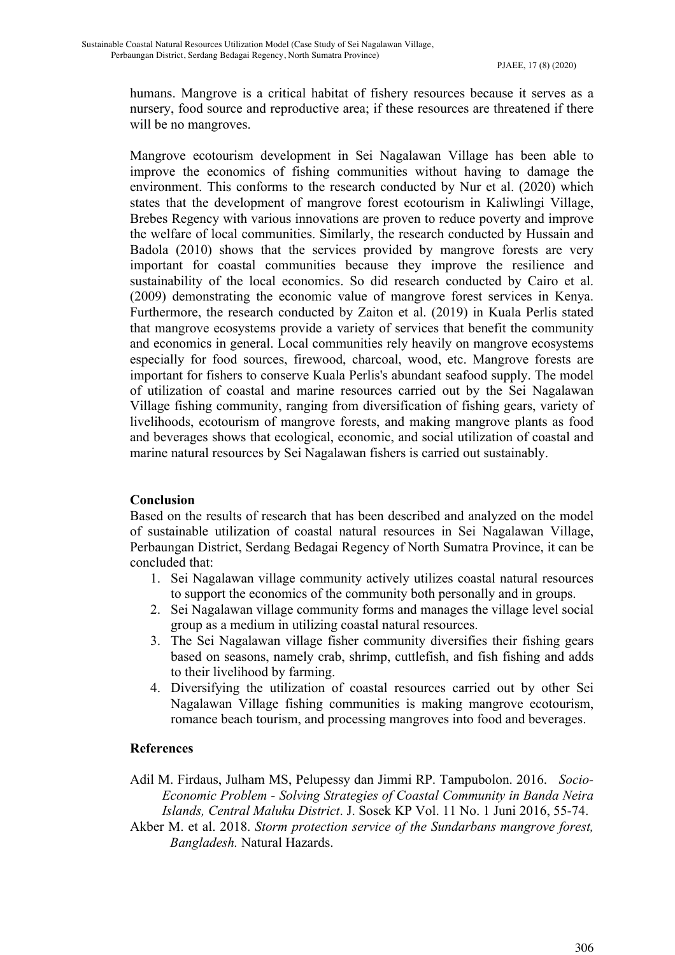humans. Mangrove is a critical habitat of fishery resources because it serves as a nursery, food source and reproductive area; if these resources are threatened if there will be no mangroves.

Mangrove ecotourism development in Sei Nagalawan Village has been able to improve the economics of fishing communities without having to damage the environment. This conforms to the research conducted by Nur et al. (2020) which states that the development of mangrove forest ecotourism in Kaliwlingi Village, Brebes Regency with various innovations are proven to reduce poverty and improve the welfare of local communities. Similarly, the research conducted by Hussain and Badola (2010) shows that the services provided by mangrove forests are very important for coastal communities because they improve the resilience and sustainability of the local economics. So did research conducted by Cairo et al. (2009) demonstrating the economic value of mangrove forest services in Kenya. Furthermore, the research conducted by Zaiton et al. (2019) in Kuala Perlis stated that mangrove ecosystems provide a variety of services that benefit the community and economics in general. Local communities rely heavily on mangrove ecosystems especially for food sources, firewood, charcoal, wood, etc. Mangrove forests are important for fishers to conserve Kuala Perlis's abundant seafood supply. The model of utilization of coastal and marine resources carried out by the Sei Nagalawan Village fishing community, ranging from diversification of fishing gears, variety of livelihoods, ecotourism of mangrove forests, and making mangrove plants as food and beverages shows that ecological, economic, and social utilization of coastal and marine natural resources by Sei Nagalawan fishers is carried out sustainably.

## **Conclusion**

Based on the results of research that has been described and analyzed on the model of sustainable utilization of coastal natural resources in Sei Nagalawan Village, Perbaungan District, Serdang Bedagai Regency of North Sumatra Province, it can be concluded that:

- 1. Sei Nagalawan village community actively utilizes coastal natural resources to support the economics of the community both personally and in groups.
- 2. Sei Nagalawan village community forms and manages the village level social group as a medium in utilizing coastal natural resources.
- 3. The Sei Nagalawan village fisher community diversifies their fishing gears based on seasons, namely crab, shrimp, cuttlefish, and fish fishing and adds to their livelihood by farming.
- 4. Diversifying the utilization of coastal resources carried out by other Sei Nagalawan Village fishing communities is making mangrove ecotourism, romance beach tourism, and processing mangroves into food and beverages.

#### **References**

- Adil M. Firdaus, Julham MS, Pelupessy dan Jimmi RP. Tampubolon. 2016. *Socio-Economic Problem - Solving Strategies of Coastal Community in Banda Neira Islands, Central Maluku District*. J. Sosek KP Vol. 11 No. 1 Juni 2016, 55-74.
- Akber M. et al. 2018. *Storm protection service of the Sundarbans mangrove forest, Bangladesh.* Natural Hazards.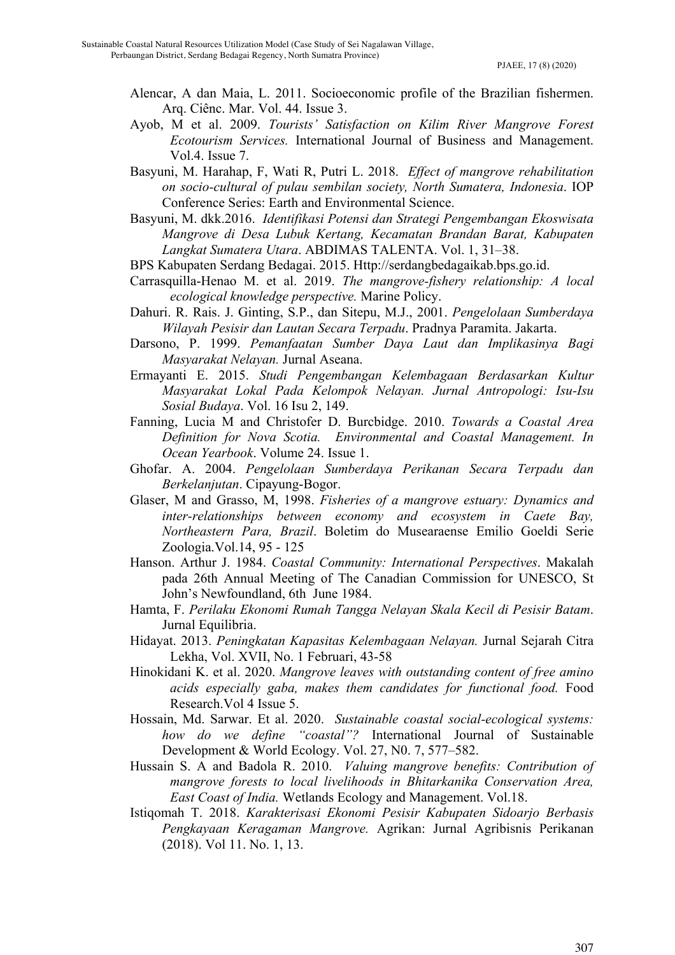- Alencar, A dan Maia, L. 2011. Socioeconomic profile of the Brazilian fishermen. Arq. Ciênc. Mar. Vol. 44. Issue 3.
- Ayob, M et al. 2009. *Tourists' Satisfaction on Kilim River Mangrove Forest Ecotourism Services.* International Journal of Business and Management. Vol.4. Issue 7.
- Basyuni, M. Harahap, F, Wati R, Putri L. 2018. *Effect of mangrove rehabilitation on socio-cultural of pulau sembilan society, North Sumatera, Indonesia*. IOP Conference Series: Earth and Environmental Science.
- Basyuni, M. dkk.2016. *Identifikasi Potensi dan Strategi Pengembangan Ekoswisata Mangrove di Desa Lubuk Kertang, Kecamatan Brandan Barat, Kabupaten Langkat Sumatera Utara*. ABDIMAS TALENTA. Vol. 1, 31–38.
- BPS Kabupaten Serdang Bedagai. 2015. Http://serdangbedagaikab.bps.go.id.
- Carrasquilla-Henao M. et al. 2019. *The mangrove-fishery relationship: A local ecological knowledge perspective.* Marine Policy.
- Dahuri. R. Rais. J. Ginting, S.P., dan Sitepu, M.J., 2001. *Pengelolaan Sumberdaya Wilayah Pesisir dan Lautan Secara Terpadu*. Pradnya Paramita. Jakarta.
- Darsono, P. 1999. *Pemanfaatan Sumber Daya Laut dan Implikasinya Bagi Masyarakat Nelayan.* Jurnal Aseana.
- Ermayanti E. 2015. *Studi Pengembangan Kelembagaan Berdasarkan Kultur Masyarakat Lokal Pada Kelompok Nelayan. Jurnal Antropologi: Isu-Isu Sosial Budaya*. Vol. 16 Isu 2, 149.
- Fanning, Lucia M and Christofer D. Burcbidge. 2010. *Towards a Coastal Area Definition for Nova Scotia. Environmental and Coastal Management. In Ocean Yearbook*. Volume 24. Issue 1.
- Ghofar. A. 2004. *Pengelolaan Sumberdaya Perikanan Secara Terpadu dan Berkelanjutan*. Cipayung-Bogor.
- Glaser, M and Grasso, M, 1998. *Fisheries of a mangrove estuary: Dynamics and inter-relationships between economy and ecosystem in Caete Bay, Northeastern Para, Brazil*. Boletim do Musearaense Emilio Goeldi Serie Zoologia.Vol.14, 95 - 125
- Hanson. Arthur J. 1984. *Coastal Community: International Perspectives*. Makalah pada 26th Annual Meeting of The Canadian Commission for UNESCO, St John's Newfoundland, 6th June 1984.
- Hamta, F. *Perilaku Ekonomi Rumah Tangga Nelayan Skala Kecil di Pesisir Batam*. Jurnal Equilibria.
- Hidayat. 2013. *Peningkatan Kapasitas Kelembagaan Nelayan.* Jurnal Sejarah Citra Lekha, Vol. XVII, No. 1 Februari, 43-58
- Hinokidani K. et al. 2020. *Mangrove leaves with outstanding content of free amino acids especially gaba, makes them candidates for functional food.* Food Research.Vol 4 Issue 5.
- Hossain, Md. Sarwar. Et al. 2020. *Sustainable coastal social-ecological systems: how do we define "coastal"?* International Journal of Sustainable Development & World Ecology. Vol. 27, N0. 7, 577–582.
- Hussain S. A and Badola R. 2010. *Valuing mangrove benefits: Contribution of mangrove forests to local livelihoods in Bhitarkanika Conservation Area, East Coast of India.* Wetlands Ecology and Management. Vol.18.
- Istiqomah T. 2018. *Karakterisasi Ekonomi Pesisir Kabupaten Sidoarjo Berbasis Pengkayaan Keragaman Mangrove.* Agrikan: Jurnal Agribisnis Perikanan (2018). Vol 11. No. 1, 13.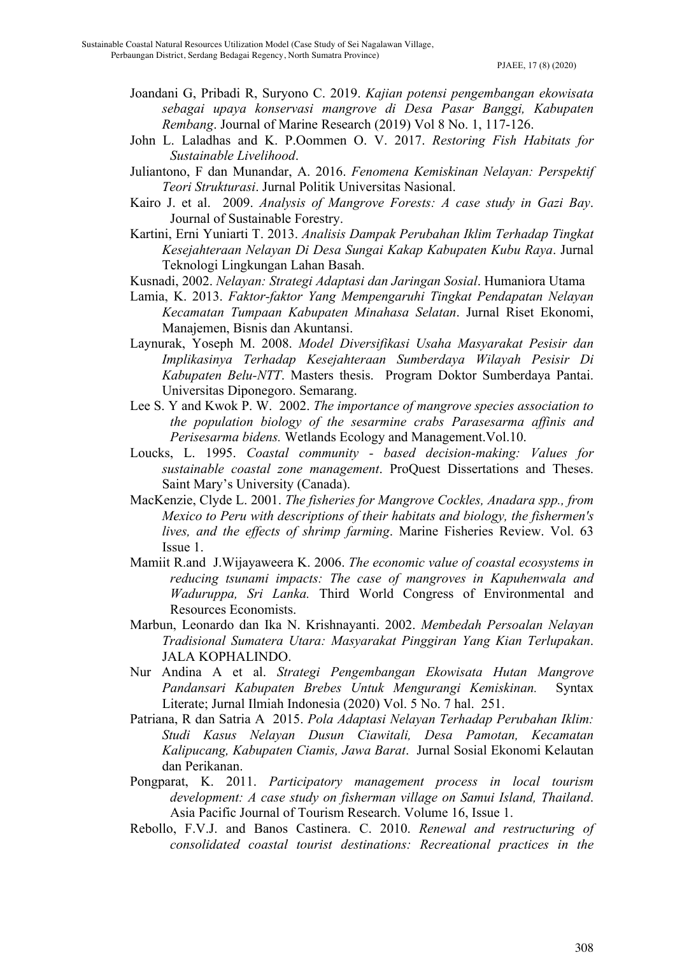- Joandani G, Pribadi R, Suryono C. 2019. *Kajian potensi pengembangan ekowisata sebagai upaya konservasi mangrove di Desa Pasar Banggi, Kabupaten Rembang*. Journal of Marine Research (2019) Vol 8 No. 1, 117-126.
- John L. Laladhas and K. P.Oommen O. V. 2017. *Restoring Fish Habitats for Sustainable Livelihood*.
- Juliantono, F dan Munandar, A. 2016. *Fenomena Kemiskinan Nelayan: Perspektif Teori Strukturasi*. Jurnal Politik Universitas Nasional.
- Kairo J. et al. 2009. *Analysis of Mangrove Forests: A case study in Gazi Bay*. Journal of Sustainable Forestry.
- Kartini, Erni Yuniarti T. 2013. *Analisis Dampak Perubahan Iklim Terhadap Tingkat Kesejahteraan Nelayan Di Desa Sungai Kakap Kabupaten Kubu Raya*. Jurnal Teknologi Lingkungan Lahan Basah.
- Kusnadi, 2002. *Nelayan: Strategi Adaptasi dan Jaringan Sosial*. Humaniora Utama
- Lamia, K. 2013. *Faktor-faktor Yang Mempengaruhi Tingkat Pendapatan Nelayan Kecamatan Tumpaan Kabupaten Minahasa Selatan*. Jurnal Riset Ekonomi, Manajemen, Bisnis dan Akuntansi.
- Laynurak, Yoseph M. 2008. *Model Diversifikasi Usaha Masyarakat Pesisir dan Implikasinya Terhadap Kesejahteraan Sumberdaya Wilayah Pesisir Di Kabupaten Belu-NTT*. Masters thesis. Program Doktor Sumberdaya Pantai. Universitas Diponegoro. Semarang.
- Lee S. Y and Kwok P. W. 2002. *The importance of mangrove species association to the population biology of the sesarmine crabs Parasesarma affinis and Perisesarma bidens.* Wetlands Ecology and Management.Vol.10.
- Loucks, L. 1995. *Coastal community - based decision-making: Values for sustainable coastal zone management*. ProQuest Dissertations and Theses. Saint Mary's University (Canada).
- MacKenzie, Clyde L. 2001. *The fisheries for Mangrove Cockles, Anadara spp., from Mexico to Peru with descriptions of their habitats and biology, the fishermen's lives, and the effects of shrimp farming*. Marine Fisheries Review. Vol. 63 Issue 1.
- Mamiit R.and J.Wijayaweera K. 2006. *The economic value of coastal ecosystems in reducing tsunami impacts: The case of mangroves in Kapuhenwala and Waduruppa, Sri Lanka.* Third World Congress of Environmental and Resources Economists.
- Marbun, Leonardo dan Ika N. Krishnayanti. 2002. *Membedah Persoalan Nelayan Tradisional Sumatera Utara: Masyarakat Pinggiran Yang Kian Terlupakan*. JALA KOPHALINDO.
- Nur Andina A et al. *Strategi Pengembangan Ekowisata Hutan Mangrove Pandansari Kabupaten Brebes Untuk Mengurangi Kemiskinan.* Syntax Literate; Jurnal Ilmiah Indonesia (2020) Vol. 5 No. 7 hal. 251.
- Patriana, R dan Satria A 2015. *Pola Adaptasi Nelayan Terhadap Perubahan Iklim: Studi Kasus Nelayan Dusun Ciawitali, Desa Pamotan, Kecamatan Kalipucang, Kabupaten Ciamis, Jawa Barat*. Jurnal Sosial Ekonomi Kelautan dan Perikanan.
- Pongparat, K. 2011. *Participatory management process in local tourism development: A case study on fisherman village on Samui Island, Thailand*. Asia Pacific Journal of Tourism Research. Volume 16, Issue 1.
- Rebollo, F.V.J. and Banos Castinera. C. 2010. *Renewal and restructuring of consolidated coastal tourist destinations: Recreational practices in the*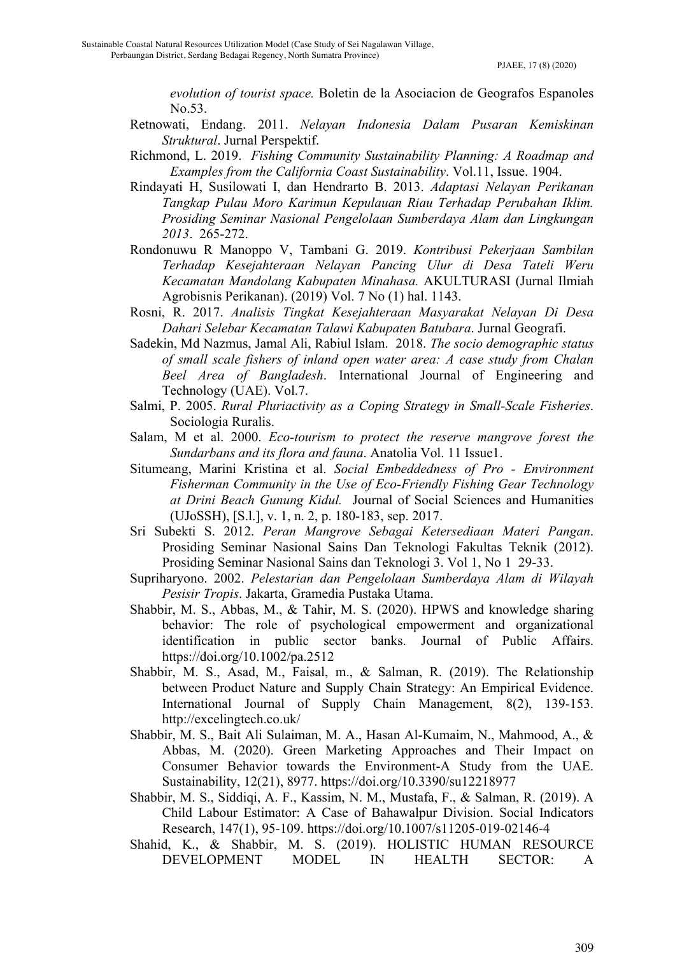*evolution of tourist space.* Boletin de la Asociacion de Geografos Espanoles No.53.

- Retnowati, Endang. 2011. *Nelayan Indonesia Dalam Pusaran Kemiskinan Struktural*. Jurnal Perspektif.
- Richmond, L. 2019. *Fishing Community Sustainability Planning: A Roadmap and Examples from the California Coast Sustainability*. Vol.11, Issue. 1904.
- Rindayati H, Susilowati I, dan Hendrarto B. 2013. *Adaptasi Nelayan Perikanan Tangkap Pulau Moro Karimun Kepulauan Riau Terhadap Perubahan Iklim. Prosiding Seminar Nasional Pengelolaan Sumberdaya Alam dan Lingkungan 2013*. 265-272.
- Rondonuwu R Manoppo V, Tambani G. 2019. *Kontribusi Pekerjaan Sambilan Terhadap Kesejahteraan Nelayan Pancing Ulur di Desa Tateli Weru Kecamatan Mandolang Kabupaten Minahasa.* AKULTURASI (Jurnal Ilmiah Agrobisnis Perikanan). (2019) Vol. 7 No (1) hal. 1143.
- Rosni, R. 2017. *Analisis Tingkat Kesejahteraan Masyarakat Nelayan Di Desa Dahari Selebar Kecamatan Talawi Kabupaten Batubara*. Jurnal Geografi.
- Sadekin, Md Nazmus, Jamal Ali, Rabiul Islam. 2018. *The socio demographic status of small scale fishers of inland open water area: A case study from Chalan Beel Area of Bangladesh*. International Journal of Engineering and Technology (UAE). Vol.7.
- Salmi, P. 2005. *Rural Pluriactivity as a Coping Strategy in Small-Scale Fisheries*. Sociologia Ruralis.
- Salam, M et al. 2000. *Eco-tourism to protect the reserve mangrove forest the Sundarbans and its flora and fauna*. Anatolia Vol. 11 Issue1.
- Situmeang, Marini Kristina et al. *Social Embeddedness of Pro - Environment Fisherman Community in the Use of Eco-Friendly Fishing Gear Technology at Drini Beach Gunung Kidul.* Journal of Social Sciences and Humanities (UJoSSH), [S.l.], v. 1, n. 2, p. 180-183, sep. 2017.
- Sri Subekti S. 2012. *Peran Mangrove Sebagai Ketersediaan Materi Pangan*. Prosiding Seminar Nasional Sains Dan Teknologi Fakultas Teknik (2012). Prosiding Seminar Nasional Sains dan Teknologi 3. Vol 1, No 1 29-33.
- Supriharyono. 2002. *Pelestarian dan Pengelolaan Sumberdaya Alam di Wilayah Pesisir Tropis*. Jakarta, Gramedia Pustaka Utama.
- Shabbir, M. S., Abbas, M., & Tahir, M. S. (2020). HPWS and knowledge sharing behavior: The role of psychological empowerment and organizational identification in public sector banks. Journal of Public Affairs. https://doi.org/10.1002/pa.2512
- Shabbir, M. S., Asad, M., Faisal, m., & Salman, R. (2019). The Relationship between Product Nature and Supply Chain Strategy: An Empirical Evidence. International Journal of Supply Chain Management, 8(2), 139-153. http://excelingtech.co.uk/
- Shabbir, M. S., Bait Ali Sulaiman, M. A., Hasan Al-Kumaim, N., Mahmood, A., & Abbas, M. (2020). Green Marketing Approaches and Their Impact on Consumer Behavior towards the Environment-A Study from the UAE. Sustainability, 12(21), 8977. https://doi.org/10.3390/su12218977
- Shabbir, M. S., Siddiqi, A. F., Kassim, N. M., Mustafa, F., & Salman, R. (2019). A Child Labour Estimator: A Case of Bahawalpur Division. Social Indicators Research, 147(1), 95-109. https://doi.org/10.1007/s11205-019-02146-4
- Shahid, K., & Shabbir, M. S. (2019). HOLISTIC HUMAN RESOURCE DEVELOPMENT MODEL IN HEALTH SECTOR: A